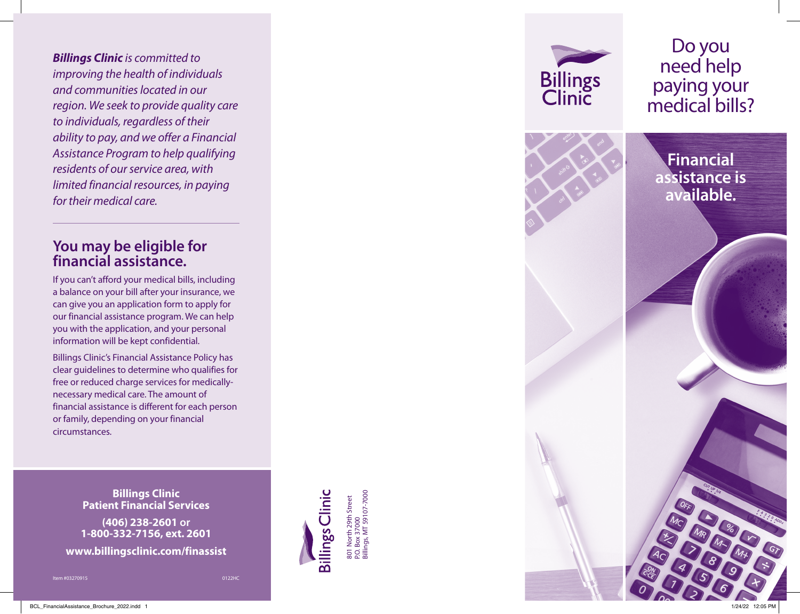*Billings Clinic is committed to improving the health of individuals and communities located in our region. We seek to provide quality care to individuals, regardless of their ability to pay, and we offer a Financial Assistance Program to help qualifying residents of our service area, with limited financial resources, in paying for their medical care.*

### **You may be eligible for financial assistance.**

If you can't afford your medical bills, including a balance on your bill after your insurance, we can give you an application form to apply for our financial assistance program. We can help you with the application, and your personal information will be kept confidential.

Billings Clinic's Financial Assistance Policy has clear guidelines to determine who qualifies for free or reduced charge services for medicallynecessary medical care. The amount of financial assistance is different for each person or family, depending on your financial circumstances.

> **Billings Clinic Patient Financial Services**

**(406) 238-2601 or 1-800-332-7156, ext. 2601**

**www.billingsclinic.com/finassist**

Item #03270915

0122HC



P.O. Box 37000 Billings, MT 59107-7000

Box 37000<br>ngs, MT 59107-7000

Do you need help **Billings**<br>Clinic paying your medical bills? **Financial assistance is available.**